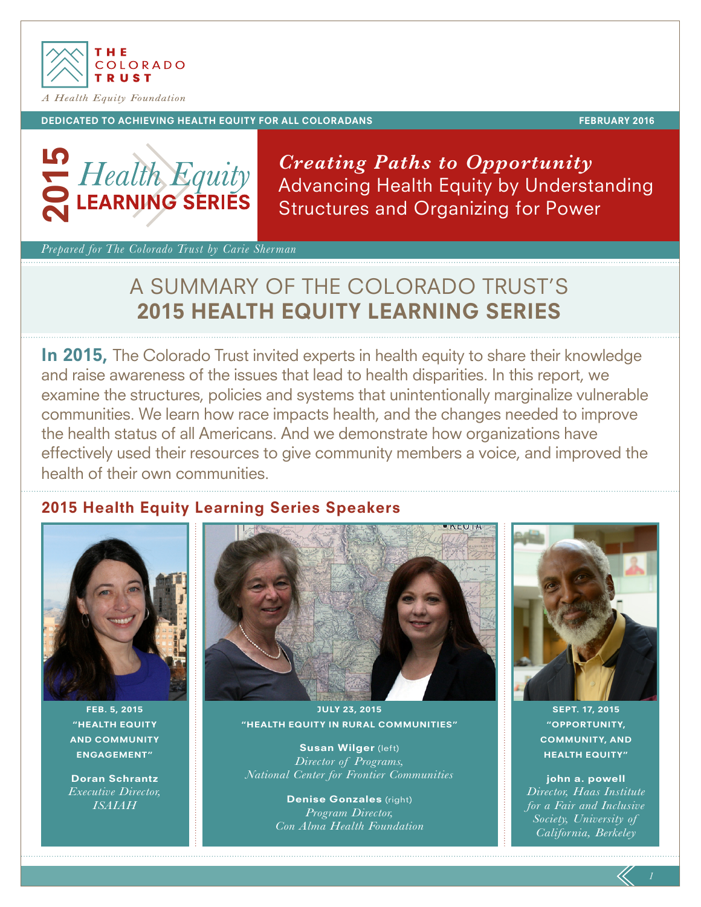

#### DEDICATED TO ACHIEVING HEALTH EQUITY FOR ALL COLORADANS FEBRUARY 2016

. .



*Creating Paths to Opportunity* Advancing Health Equity by Understanding Structures and Organizing for Power

*Prepared for The Colorado Trust by Carie Sherman*

# A SUMMARY OF THE COLORADO TRUST'S 2015 HEALTH EQUITY LEARNING SERIES

In 2015. The Colorado Trust invited experts in health equity to share their knowledge and raise awareness of the issues that lead to health disparities. In this report, we examine the structures, policies and systems that unintentionally marginalize vulnerable communities. We learn how race impacts health, and the changes needed to improve the health status of all Americans. And we demonstrate how organizations have effectively used their resources to give community members a voice, and improved the health of their own communities.

# 2015 Health Equity Learning Series Speakers



FEB. 5, 2015 "HEALTH EQUITY AND COMMUNITY ENGAGEMENT"

Doran Schrantz *Executive Director, ISAIAH*



JULY 23, 2015 "HEALTH EQUITY IN RURAL COMMUNITIES"

Susan Wilger (left) *Director of Programs, National Center for Frontier Communities*

> Denise Gonzales (right) *Program Director, Con Alma Health Foundation*



SEPT. 17, 2015 "OPPORTUNITY, COMMUNITY, AND HEALTH EQUITY"

john a. powell *Director, Haas Institute for a Fair and Inclusive Society, University of California, Berkeley*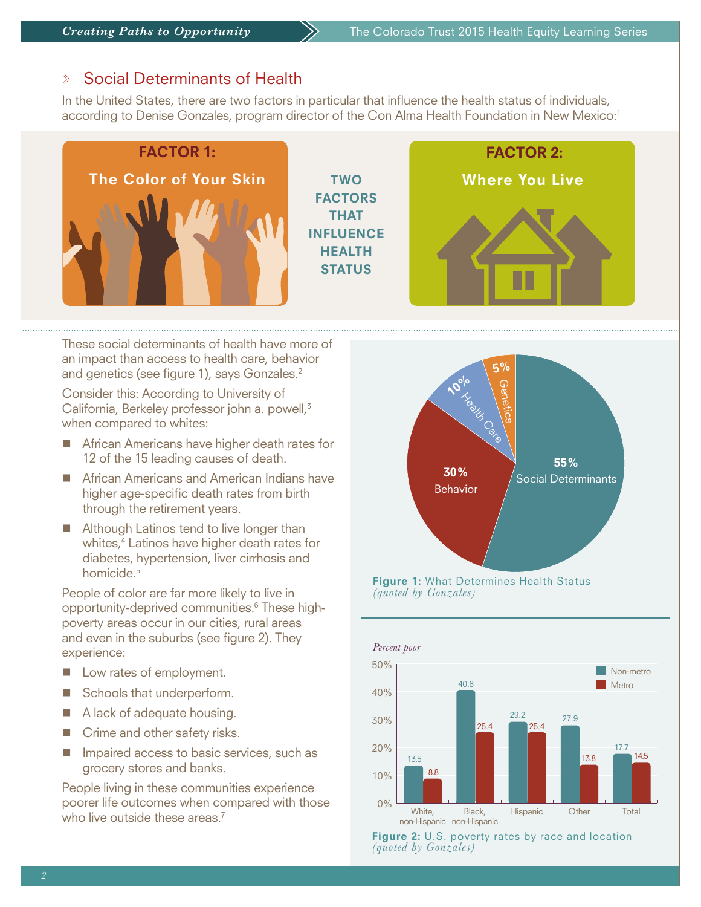#### Social Determinants of Health  $\gg$

In the United States, there are two factors in particular that influence the health status of individuals, according to Denise Gonzales, program director of the Con Alma Health Foundation in New Mexico:1



These social determinants of health have more of an impact than access to health care, behavior and genetics (see figure 1), says Gonzales.<sup>2</sup>

Consider this: According to University of California, Berkeley professor john a. powell,<sup>3</sup> when compared to whites:

- African Americans have higher death rates for 12 of the 15 leading causes of death.
- African Americans and American Indians have higher age-specific death rates from birth through the retirement years.
- Although Latinos tend to live longer than whites,4 Latinos have higher death rates for diabetes, hypertension, liver cirrhosis and homicide<sup>5</sup>

People of color are far more likely to live in opportunity-deprived communities.6 These highpoverty areas occur in our cities, rural areas and even in the suburbs (see figure 2). They experience:

- **n** Low rates of employment.
- Schools that underperform.
- $\blacksquare$  A lack of adequate housing.
- $\blacksquare$  Crime and other safety risks.
- $\blacksquare$  Impaired access to basic services, such as grocery stores and banks.

People living in these communities experience poorer life outcomes when compared with those who live outside these areas.<sup>7</sup>



**Figure 1:** What Determines Health Status *(quoted by Gonzales)*



Figure 2: U.S. poverty rates by race and location *(quoted by Gonzales)*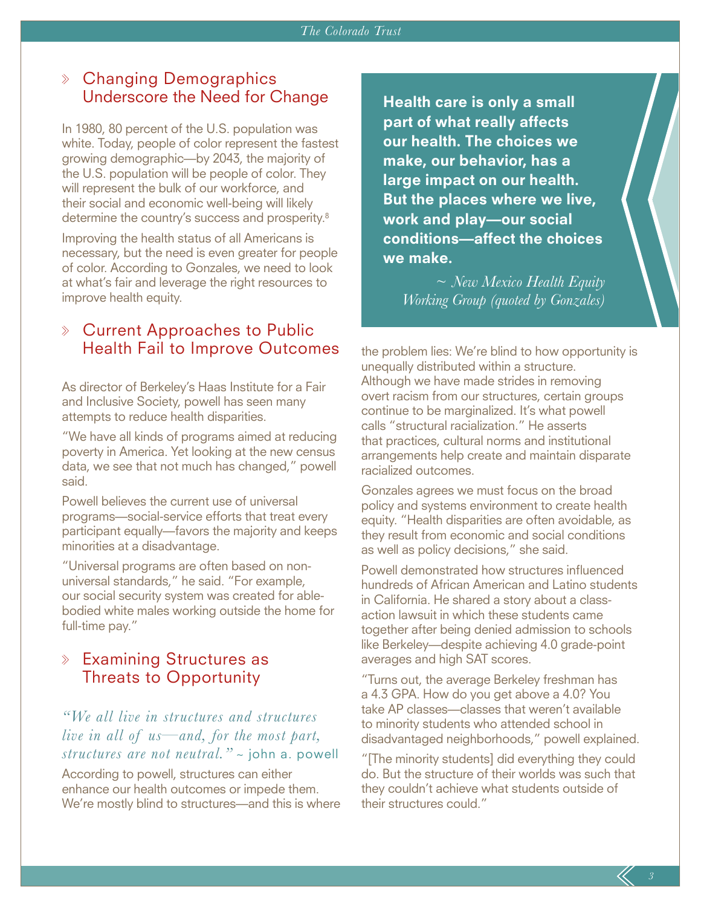# Changing Demographics Underscore the Need for Change

In 1980, 80 percent of the U.S. population was white. Today, people of color represent the fastest growing demographic—by 2043, the majority of the U.S. population will be people of color. They will represent the bulk of our workforce, and their social and economic well-being will likely determine the country's success and prosperity.8

Improving the health status of all Americans is necessary, but the need is even greater for people of color. According to Gonzales, we need to look at what's fair and leverage the right resources to improve health equity.

# Current Approaches to Public Health Fail to Improve Outcomes

As director of Berkeley's Haas Institute for a Fair and Inclusive Society, powell has seen many attempts to reduce health disparities.

"We have all kinds of programs aimed at reducing poverty in America. Yet looking at the new census data, we see that not much has changed," powell said.

Powell believes the current use of universal programs—social-service efforts that treat every participant equally—favors the majority and keeps minorities at a disadvantage.

"Universal programs are often based on nonuniversal standards," he said. "For example, our social security system was created for ablebodied white males working outside the home for full-time pay."

### $\Diamond$  Examining Structures as Threats to Opportunity

### *"We all live in structures and structures live in all of us—and, for the most part, structures are not neutral."* ~ john a. powell

According to powell, structures can either enhance our health outcomes or impede them. We're mostly blind to structures—and this is where

Health care is only a small part of what really affects our health. The choices we make, our behavior, has a large impact on our health. But the places where we live, work and play—our social conditions—affect the choices we make.

*~ New Mexico Health Equity Working Group (quoted by Gonzales)*

the problem lies: We're blind to how opportunity is unequally distributed within a structure. Although we have made strides in removing overt racism from our structures, certain groups continue to be marginalized. It's what powell calls "structural racialization." He asserts that practices, cultural norms and institutional arrangements help create and maintain disparate racialized outcomes.

Gonzales agrees we must focus on the broad policy and systems environment to create health equity. "Health disparities are often avoidable, as they result from economic and social conditions as well as policy decisions," she said.

Powell demonstrated how structures influenced hundreds of African American and Latino students in California. He shared a story about a classaction lawsuit in which these students came together after being denied admission to schools like Berkeley—despite achieving 4.0 grade-point averages and high SAT scores.

"Turns out, the average Berkeley freshman has a 4.3 GPA. How do you get above a 4.0? You take AP classes—classes that weren't available to minority students who attended school in disadvantaged neighborhoods," powell explained.

"[The minority students] did everything they could do. But the structure of their worlds was such that they couldn't achieve what students outside of their structures could."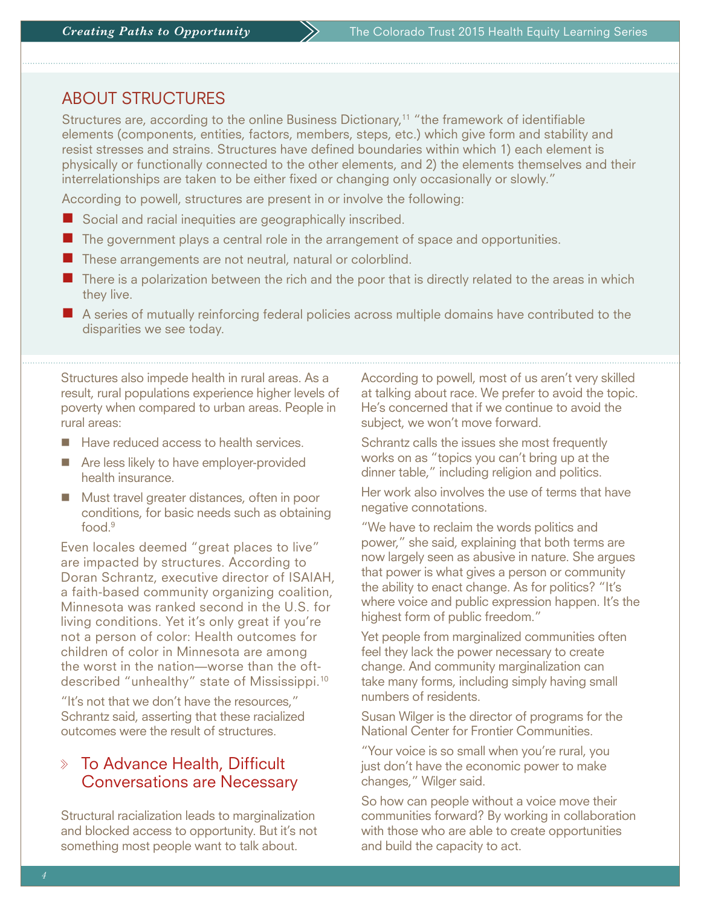### ABOUT STRUCTURES

Structures are, according to the online Business Dictionary,<sup>11</sup> "the framework of identifiable elements (components, entities, factors, members, steps, etc.) which give form and stability and resist stresses and strains. Structures have defined boundaries within which 1) each element is physically or functionally connected to the other elements, and 2) the elements themselves and their interrelationships are taken to be either fixed or changing only occasionally or slowly."

According to powell, structures are present in or involve the following:

- $\blacksquare$  Social and racial inequities are geographically inscribed.
- $\blacksquare$  The government plays a central role in the arrangement of space and opportunities.
- $\blacksquare$  These arrangements are not neutral, natural or colorblind.
- $\blacksquare$  There is a polarization between the rich and the poor that is directly related to the areas in which they live.
- $\blacksquare$  A series of mutually reinforcing federal policies across multiple domains have contributed to the disparities we see today.

Structures also impede health in rural areas. As a result, rural populations experience higher levels of poverty when compared to urban areas. People in rural areas:

- $\blacksquare$  Have reduced access to health services.
- Are less likely to have employer-provided health insurance.
- Must travel greater distances, often in poor conditions, for basic needs such as obtaining food $9$

Even locales deemed "great places to live" are impacted by structures. According to Doran Schrantz, executive director of ISAIAH, a faith-based community organizing coalition, Minnesota was ranked second in the U.S. for living conditions. Yet it's only great if you're not a person of color: Health outcomes for children of color in Minnesota are among the worst in the nation—worse than the oftdescribed "unhealthy" state of Mississippi.10

"It's not that we don't have the resources," Schrantz said, asserting that these racialized outcomes were the result of structures.

### $\mathbb X$  To Advance Health, Difficult  $\mathbb X$ Conversations are Necessary

Structural racialization leads to marginalization and blocked access to opportunity. But it's not something most people want to talk about.

According to powell, most of us aren't very skilled at talking about race. We prefer to avoid the topic. He's concerned that if we continue to avoid the subject, we won't move forward.

Schrantz calls the issues she most frequently works on as "topics you can't bring up at the dinner table," including religion and politics.

Her work also involves the use of terms that have negative connotations.

"We have to reclaim the words politics and power," she said, explaining that both terms are now largely seen as abusive in nature. She argues that power is what gives a person or community the ability to enact change. As for politics? "It's where voice and public expression happen. It's the highest form of public freedom."

Yet people from marginalized communities often feel they lack the power necessary to create change. And community marginalization can take many forms, including simply having small numbers of residents.

Susan Wilger is the director of programs for the National Center for Frontier Communities.

"Your voice is so small when you're rural, you just don't have the economic power to make changes," Wilger said.

So how can people without a voice move their communities forward? By working in collaboration with those who are able to create opportunities and build the capacity to act.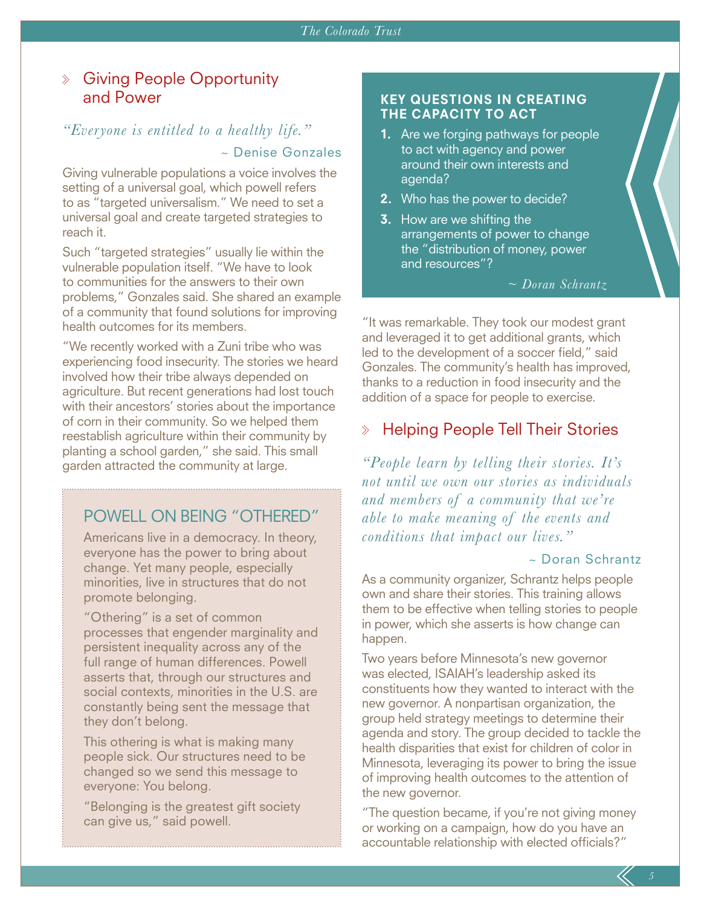#### Giving People Opportunity and Power

#### *"Everyone is entitled to a healthy life."*

#### ~ Denise Gonzales

Giving vulnerable populations a voice involves the setting of a universal goal, which powell refers to as "targeted universalism." We need to set a universal goal and create targeted strategies to reach it.

Such "targeted strategies" usually lie within the vulnerable population itself. "We have to look to communities for the answers to their own problems," Gonzales said. She shared an example of a community that found solutions for improving health outcomes for its members.

"We recently worked with a Zuni tribe who was experiencing food insecurity. The stories we heard involved how their tribe always depended on agriculture. But recent generations had lost touch with their ancestors' stories about the importance of corn in their community. So we helped them reestablish agriculture within their community by planting a school garden," she said. This small garden attracted the community at large.

# POWELL ON BEING "OTHERED"

Americans live in a democracy. In theory, everyone has the power to bring about change. Yet many people, especially minorities, live in structures that do not promote belonging.

"Othering" is a set of common processes that engender marginality and persistent inequality across any of the full range of human differences. Powell asserts that, through our structures and social contexts, minorities in the U.S. are constantly being sent the message that they don't belong.

This othering is what is making many people sick. Our structures need to be changed so we send this message to everyone: You belong.

"Belonging is the greatest gift society can give us," said powell.

#### KEY QUESTIONS IN CREATING THE CAPACITY TO ACT

- **1.** Are we forging pathways for people to act with agency and power around their own interests and agenda?
- **2.** Who has the power to decide?
- **3.** How are we shifting the arrangements of power to change the "distribution of money, power and resources"?

*~ Doran Schrantz*

"It was remarkable. They took our modest grant and leveraged it to get additional grants, which led to the development of a soccer field," said Gonzales. The community's health has improved, thanks to a reduction in food insecurity and the addition of a space for people to exercise.

#### $\gg$ Helping People Tell Their Stories

*"People learn by telling their stories. It's not until we own our stories as individuals and members of a community that we're able to make meaning of the events and conditions that impact our lives."*

#### ~ Doran Schrantz

As a community organizer, Schrantz helps people own and share their stories. This training allows them to be effective when telling stories to people in power, which she asserts is how change can happen.

Two years before Minnesota's new governor was elected, ISAIAH's leadership asked its constituents how they wanted to interact with the new governor. A nonpartisan organization, the group held strategy meetings to determine their agenda and story. The group decided to tackle the health disparities that exist for children of color in Minnesota, leveraging its power to bring the issue of improving health outcomes to the attention of the new governor.

"The question became, if you're not giving money or working on a campaign, how do you have an accountable relationship with elected officials?"

*5*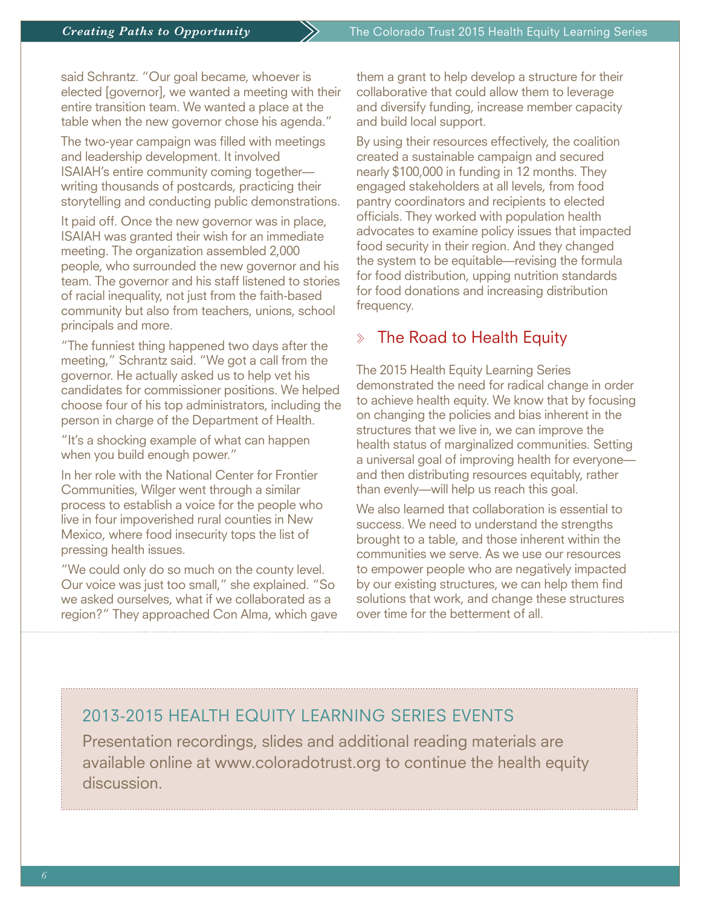said Schrantz. "Our goal became, whoever is elected [governor], we wanted a meeting with their entire transition team. We wanted a place at the table when the new governor chose his agenda."

The two-year campaign was filled with meetings and leadership development. It involved ISAIAH's entire community coming together writing thousands of postcards, practicing their storytelling and conducting public demonstrations.

It paid off. Once the new governor was in place, ISAIAH was granted their wish for an immediate meeting. The organization assembled 2,000 people, who surrounded the new governor and his team. The governor and his staff listened to stories of racial inequality, not just from the faith-based community but also from teachers, unions, school principals and more.

"The funniest thing happened two days after the meeting," Schrantz said. "We got a call from the governor. He actually asked us to help vet his candidates for commissioner positions. We helped choose four of his top administrators, including the person in charge of the Department of Health.

"It's a shocking example of what can happen when you build enough power."

In her role with the National Center for Frontier Communities, Wilger went through a similar process to establish a voice for the people who live in four impoverished rural counties in New Mexico, where food insecurity tops the list of pressing health issues.

"We could only do so much on the county level. Our voice was just too small," she explained. "So we asked ourselves, what if we collaborated as a region?" They approached Con Alma, which gave them a grant to help develop a structure for their collaborative that could allow them to leverage and diversify funding, increase member capacity and build local support.

By using their resources effectively, the coalition created a sustainable campaign and secured nearly \$100,000 in funding in 12 months. They engaged stakeholders at all levels, from food pantry coordinators and recipients to elected officials. They worked with population health advocates to examine policy issues that impacted food security in their region. And they changed the system to be equitable—revising the formula for food distribution, upping nutrition standards for food donations and increasing distribution frequency.

#### $\Diamond$  The Road to Health Equity

The 2015 Health Equity Learning Series demonstrated the need for radical change in order to achieve health equity. We know that by focusing on changing the policies and bias inherent in the structures that we live in, we can improve the health status of marginalized communities. Setting a universal goal of improving health for everyone and then distributing resources equitably, rather than evenly—will help us reach this goal.

We also learned that collaboration is essential to success. We need to understand the strengths brought to a table, and those inherent within the communities we serve. As we use our resources to empower people who are negatively impacted by our existing structures, we can help them find solutions that work, and change these structures over time for the betterment of all.

# 2013-2015 HEALTH EQUITY LEARNING SERIES EVENTS

Presentation recordings, slides and additional reading materials are available online at www.coloradotrust.org to continue the health equity discussion.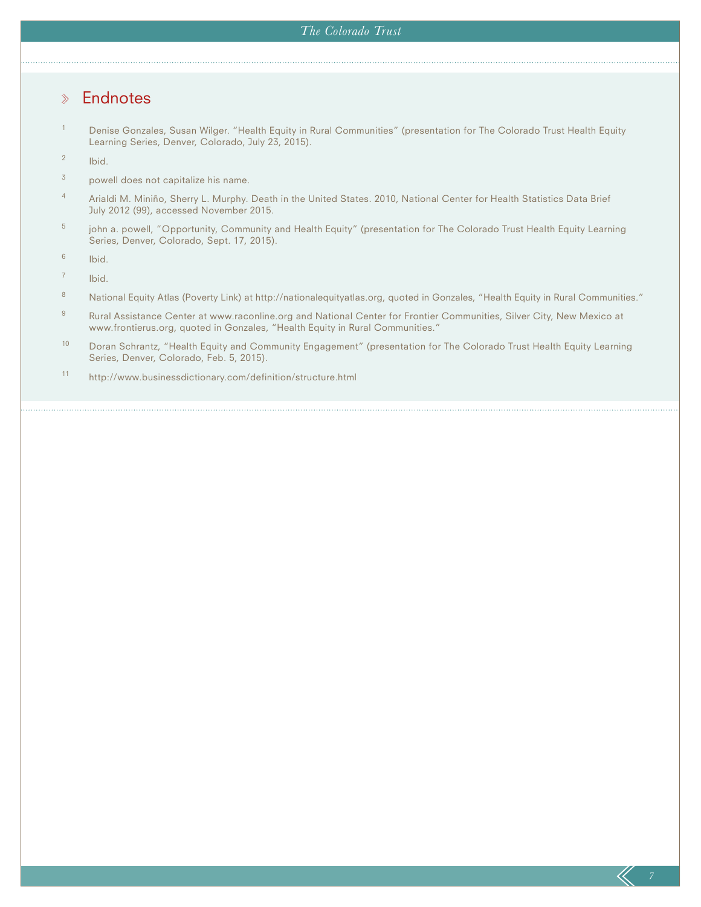#### *The Colorado Trust*

#### **Endnotes**  $\gg$

<sup>1</sup> Denise Gonzales, Susan Wilger. "Health Equity in Rural Communities" (presentation for The Colorado Trust Health Equity Learning Series, Denver, Colorado, July 23, 2015).

<sup>2</sup> Ibid.

- $3$  powell does not capitalize his name.
- 4 Arialdi M. Miniño, Sherry L. Murphy. Death in the United States. 2010, National Center for Health Statistics Data Brief July 2012 (99), accessed November 2015.
- <sup>5</sup> john a. powell, "Opportunity, Community and Health Equity" (presentation for The Colorado Trust Health Equity Learning Series, Denver, Colorado, Sept. 17, 2015).

 $6$  Ibid.

<sup>7</sup> Ibid.

- 8 National Equity Atlas (Poverty Link) at http://nationalequityatlas.org, quoted in Gonzales, "Health Equity in Rural Communities."
- 9 Rural Assistance Center at www.raconline.org and National Center for Frontier Communities, Silver City, New Mexico at www.frontierus.org, quoted in Gonzales, "Health Equity in Rural Communities."
- <sup>10</sup> Doran Schrantz, "Health Equity and Community Engagement" (presentation for The Colorado Trust Health Equity Learning Series, Denver, Colorado, Feb. 5, 2015).
- <sup>11</sup> http://www.businessdictionary.com/definition/structure.html